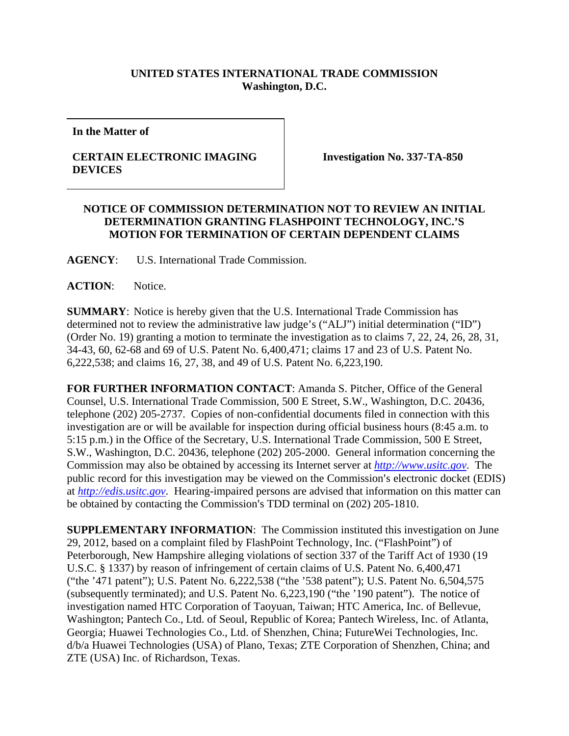## **UNITED STATES INTERNATIONAL TRADE COMMISSION Washington, D.C.**

**In the Matter of** 

## **CERTAIN ELECTRONIC IMAGING DEVICES**

**Investigation No. 337-TA-850** 

## **NOTICE OF COMMISSION DETERMINATION NOT TO REVIEW AN INITIAL DETERMINATION GRANTING FLASHPOINT TECHNOLOGY, INC.'S MOTION FOR TERMINATION OF CERTAIN DEPENDENT CLAIMS**

**AGENCY**: U.S. International Trade Commission.

**ACTION**: Notice.

**SUMMARY**: Notice is hereby given that the U.S. International Trade Commission has determined not to review the administrative law judge's ("ALJ") initial determination ("ID") (Order No. 19) granting a motion to terminate the investigation as to claims 7, 22, 24, 26, 28, 31, 34-43, 60, 62-68 and 69 of U.S. Patent No. 6,400,471; claims 17 and 23 of U.S. Patent No. 6,222,538; and claims 16, 27, 38, and 49 of U.S. Patent No. 6,223,190.

**FOR FURTHER INFORMATION CONTACT**: Amanda S. Pitcher, Office of the General Counsel, U.S. International Trade Commission, 500 E Street, S.W., Washington, D.C. 20436, telephone (202) 205-2737. Copies of non-confidential documents filed in connection with this investigation are or will be available for inspection during official business hours (8:45 a.m. to 5:15 p.m.) in the Office of the Secretary, U.S. International Trade Commission, 500 E Street, S.W., Washington, D.C. 20436, telephone (202) 205-2000. General information concerning the Commission may also be obtained by accessing its Internet server at *http://www.usitc.gov*. The public record for this investigation may be viewed on the Commission's electronic docket (EDIS) at *http://edis.usitc.gov*. Hearing-impaired persons are advised that information on this matter can be obtained by contacting the Commission's TDD terminal on (202) 205-1810.

**SUPPLEMENTARY INFORMATION**: The Commission instituted this investigation on June 29, 2012, based on a complaint filed by FlashPoint Technology, Inc. ("FlashPoint") of Peterborough, New Hampshire alleging violations of section 337 of the Tariff Act of 1930 (19 U.S.C. § 1337) by reason of infringement of certain claims of U.S. Patent No. 6,400,471 ("the '471 patent"); U.S. Patent No. 6,222,538 ("the '538 patent"); U.S. Patent No. 6,504,575 (subsequently terminated); and U.S. Patent No. 6,223,190 ("the '190 patent"). The notice of investigation named HTC Corporation of Taoyuan, Taiwan; HTC America, Inc. of Bellevue, Washington; Pantech Co., Ltd. of Seoul, Republic of Korea; Pantech Wireless, Inc. of Atlanta, Georgia; Huawei Technologies Co., Ltd. of Shenzhen, China; FutureWei Technologies, Inc. d/b/a Huawei Technologies (USA) of Plano, Texas; ZTE Corporation of Shenzhen, China; and ZTE (USA) Inc. of Richardson, Texas.